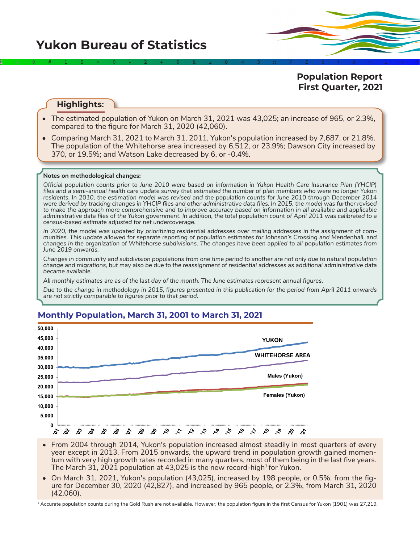2÷9#1\$>0-2+6&±8<3π7£5‡9≈1∞^

**Population Report First Quarter, 2021**

# **Highlights:**

- The estimated population of Yukon on March 31, 2021 was 43,025; an increase of 965, or 2.3%, compared to the figure for March 31, 2020 (42,060).
- Comparing March 31, 2021 to March 31, 2011, Yukon's population increased by 7,687, or 21.8%. The population of the Whitehorse area increased by 6,512, or 23.9%; Dawson City increased by 370, or 19.5%; and Watson Lake decreased by 6, or -0.4%.

### **Notes on methodological changes:**

*Official population counts prior to June 2010 were based on information in Yukon Health Care Insurance Plan (YHCIP) files and a semi-annual health care update survey that estimated the number of plan members who were no longer Yukon residents. In 2010, the estimation model was revised and the population counts for June 2010 through December 2014 were derived by tracking changes in YHCIP files and other administrative data files. In 2015, the model was further revised*  to make the approach more comprehensive and to improve accuracy based on information in all available and applicable *administrative data files of the Yukon government. In addition, the total population count of April 2011 was calibrated to a census-based estimate adjusted for net undercoverage.*

*In 2020, the model was updated by prioritizing residential addresses over mailing addresses in the assignment of communities. This update allowed for separate reporting of population estimates for Johnson's Crossing and Mendenhall, and changes in the organization of Whitehorse subdivisions. The changes have been applied to all population estimates from June 2019 onwards.*

*Changes in community and subdivision populations from one time period to another are not only due to natural population change and migrations, but may also be due to the reassignment of residential addresses as additional administrative data became available.*

*All monthly estimates are as of the last day of the month. The June estimates represent annual figures.* 

*Due to the change in methodology in 2015, figures presented in this publication for the period from April 2011 onwards are not strictly comparable to figures prior to that period.* 



## **Monthly Population, March 31, 2001 to March 31, 2021**

- From 2004 through 2014, Yukon's population increased almost steadily in most quarters of every year except in 2013. From 2015 onwards, the upward trend in population growth gained momentum with very high growth rates recorded in many quarters, most of them being in the last five years. The March 31, 2021 population at 43,025 is the new record-high<sup>1</sup> for Yukon.
- On March 31, 2021, Yukon's population (43,025), increased by 198 people, or 0.5%, from the figure for December 30, 2020 (42,827), and increased by 965 people, or 2.3%, from March 31, 2020 (42,060).

<sup>1</sup>Accurate population counts during the Gold Rush are not available. However, the population figure in the first Census for Yukon (1901) was 27,219.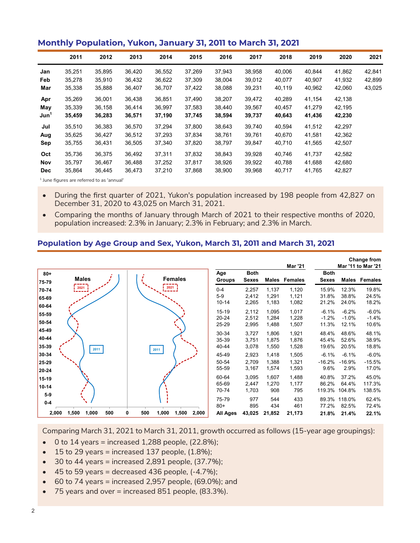## **Monthly Population, Yukon, January 31, 2011 to March 31, 2021**

|                  | 2011   | 2012   | 2013   | 2014   | 2015   | 2016   | 2017   | 2018   | 2019   | 2020   | 2021   |
|------------------|--------|--------|--------|--------|--------|--------|--------|--------|--------|--------|--------|
| Jan              | 35,251 | 35,895 | 36,420 | 36,552 | 37,269 | 37,943 | 38,958 | 40,006 | 40.844 | 41,862 | 42,841 |
| Feb              | 35,278 | 35,910 | 36,432 | 36,622 | 37,309 | 38,004 | 39,012 | 40,077 | 40,907 | 41,932 | 42,899 |
| Mar              | 35,338 | 35,888 | 36,407 | 36,707 | 37,422 | 38,088 | 39,231 | 40,119 | 40,962 | 42,060 | 43,025 |
| Apr              | 35,269 | 36,001 | 36,438 | 36,851 | 37.490 | 38,207 | 39,472 | 40,289 | 41,154 | 42,138 |        |
| May              | 35,339 | 36,158 | 36,414 | 36,997 | 37,583 | 38,440 | 39,567 | 40,457 | 41,279 | 42,195 |        |
| Jun <sup>1</sup> | 35,459 | 36,283 | 36,571 | 37,190 | 37,745 | 38,594 | 39,737 | 40,643 | 41,436 | 42,230 |        |
| Jul              | 35,510 | 36,383 | 36,570 | 37,294 | 37,800 | 38,643 | 39,740 | 40,594 | 41,512 | 42,297 |        |
| Aug              | 35,625 | 36,427 | 36,512 | 37,293 | 37,834 | 38,761 | 39,761 | 40,670 | 41,581 | 42,362 |        |
| Sep              | 35,755 | 36,431 | 36,505 | 37,340 | 37,820 | 38,797 | 39,847 | 40,710 | 41,565 | 42,507 |        |
| Oct              | 35,736 | 36,375 | 36,492 | 37,311 | 37,832 | 38,843 | 39,928 | 40,746 | 41,737 | 42,582 |        |
| Nov              | 35,797 | 36,467 | 36,488 | 37,252 | 37,817 | 38,926 | 39,922 | 40,788 | 41,688 | 42,680 |        |
| <b>Dec</b>       | 35,864 | 36,445 | 36,473 | 37,210 | 37,868 | 38,900 | 39,968 | 40,717 | 41,765 | 42,827 |        |

<sup>1</sup> June figures are referred to as 'annual'

- During the first quarter of 2021, Yukon's population increased by 198 people from 42,827 on December 31, 2020 to 43,025 on March 31, 2021.
- Comparing the months of January through March of 2021 to their respective months of 2020, population increased: 2.3% in January; 2.3% in February; and 2.3% in March.

### **Population by Age Group and Sex, Yukon, March 31, 2011 and March 31, 2021**

|                         |                       |                                     |                                 |                             |                         | Mar '21                 |                             |                             | Change from<br>Mar '11 to Mar '21 |
|-------------------------|-----------------------|-------------------------------------|---------------------------------|-----------------------------|-------------------------|-------------------------|-----------------------------|-----------------------------|-----------------------------------|
| $80 +$<br>75-79         | <b>Males</b>          | <b>Females</b>                      | Age<br><b>Groups</b>            | <b>Both</b><br><b>Sexes</b> |                         | Males Females           | <b>Both</b><br><b>Sexes</b> |                             | Males Females                     |
| 70-74<br>65-69<br>60-64 | $5 - 7$               | 2021                                | $0 - 4$<br>$5-9$<br>$10 - 14$   | 2,257<br>2,412<br>2,265     | 1,137<br>1,291<br>1,183 | 1,120<br>1,121<br>1,082 | 15.9%<br>31.8%<br>21.2%     | 12.3%<br>38.8%<br>24.0%     | 19.8%<br>24.5%<br>18.2%           |
| 55-59<br>50-54          |                       |                                     | $15 - 19$<br>$20 - 24$<br>25-29 | 2,112<br>2,512<br>2,995     | 1,095<br>1,284<br>1,488 | 1,017<br>1,228<br>1,507 | $-6.1%$<br>$-1.2%$<br>11.3% | $-6.2%$<br>$-1.0%$<br>12.1% | $-6.0%$<br>$-1.4%$<br>10.6%       |
| 45-49<br>40-44<br>35-39 | 2011                  | 2011                                | 30-34<br>35-39<br>40-44         | 3,727<br>3,751<br>3,078     | 1,806<br>1,875<br>1,550 | 1,921<br>1,876<br>1,528 | 48.4%<br>45.4%<br>19.6%     | 48.6%<br>52.6%<br>20.5%     | 48.1%<br>38.9%<br>18.8%           |
| 30-34<br>25-29<br>20-24 |                       |                                     | 45-49<br>50-54<br>55-59         | 2,923<br>2,709<br>3,167     | 1,418<br>1,388<br>1,574 | 1,505<br>1,321<br>1,593 | $-6.1%$<br>$-16.2%$<br>9.6% | $-6.1%$<br>$-16.9%$<br>2.9% | $-6.0%$<br>$-15.5%$<br>17.0%      |
| $15 - 19$<br>$10 - 14$  |                       |                                     | 60-64<br>65-69<br>70-74         | 3,095<br>2,447<br>1,703     | 1,607<br>1,270<br>908   | 1,488<br>1,177<br>795   | 40.8%<br>86.2%<br>119.3%    | 37.2%<br>64.4%<br>104.8%    | 45.0%<br>117.3%<br>138.5%         |
| $5-9$<br>$0-4$<br>2,000 | 1,500<br>1,000<br>500 | 1,000<br>0<br>500<br>1,500<br>2,000 | 75-79<br>$80+$<br>All Ages      | 977<br>895<br>43,025        | 544<br>434<br>21,852    | 433<br>461<br>21,173    | 89.3%<br>77.2%<br>21.8%     | 118.0%<br>82.5%<br>21.4%    | 62.4%<br>72.4%<br>22.1%           |

Comparing March 31, 2021 to March 31, 2011, growth occurred as follows (15-year age groupings):

- $\bullet$  0 to 14 years = increased 1,288 people, (22.8%);
- $\bullet$  15 to 29 years = increased 137 people, (1.8%);
- $\bullet$  30 to 44 years = increased 2,891 people, (37.7%);
- $\bullet$  45 to 59 years = decreased 436 people,  $(-4.7\%)$ ;
- $\bullet$  60 to 74 years = increased 2,957 people, (69.0%); and
- 75 years and over = increased 851 people, (83.3%).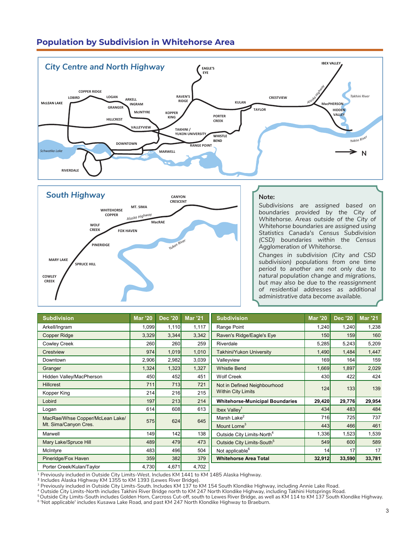# **Population by Subdivision in Whitehorse Area**





#### **Note:**

*Subdivisions are assigned based on*  **boundaries** provided by the City of *Whitehorse. Areas outside of the City of*  **Whitehorse boundaries are assigned using |** Statistics Canada's Census Subdivision *(CSD) boundaries within the Census Agglomeration of Whitehorse.*

**GRANGER**

Changes in subdivision (City and CSD *subdivision) populations from one time period to another are not only due to natural population change and migrations, but may also be due to the reassignment of residential addresses as additional administrative data become available.* 

| <b>Subdivision</b>              | <b>Mar '20</b> | <b>Dec '20</b> | <b>Mar '21</b> | <b>Subdivision</b>                     | <b>Mar '20</b> | <b>Dec '20</b> | <b>Mar '21</b> |
|---------------------------------|----------------|----------------|----------------|----------------------------------------|----------------|----------------|----------------|
| Arkell/Ingram                   | 1,099          | 1,110          | 1,117          | Range Point                            | 1,240          | 1,240          | 1,238          |
| <b>Copper Ridge</b>             | 3,329          | 3,344          | 3,342          | Raven's Ridge/Eagle's Eye              | 150            | 159            | 160            |
| <b>Cowley Creek</b>             | 260            | 260            | 259            | Riverdale                              | 5,285          | 5,243          | 5,209          |
| Crestview                       | 974            | 1,019          | 1,010          | Takhini/Yukon University               | 1,490          | 1,484          | 1,447          |
| Downtown                        | 2,906          | 2,982          | 3,039          | Valleyview                             | 169            | 164            | 159            |
| Granger                         | 1,324          | 1,323          | 1,327          | <b>Whistle Bend</b>                    | 1,669          | 1,897          | 2,029          |
| Hidden Valley/MacPherson        | 450            | 452            | 451            | <b>Wolf Creek</b>                      | 430            | 422            | 424            |
| <b>Hillcrest</b>                | 711            | 713            | 721            | Not in Defined Neighbourhood           | 124            | 133            | 139            |
| Kopper King                     | 214            | 216            | 215            | <b>Within City Limits</b>              |                |                |                |
| Lobird                          | 197            | 213            | 214            | <b>Whitehorse-Municipal Boundaries</b> | 29,420         | 29,776         | 29,954         |
| Logan                           | 614            | 608            | 613            | Ibex $Valley1$                         | 434            | 483            | 484            |
| MacRae/Whse Copper/McLean Lake/ | 575            | 624            | 645            | Marsh Lake <sup>2</sup>                | 716            | 725            | 737            |
| Mt. Sima/Canyon Cres.           |                |                |                | Mount Lorne <sup>3</sup>               | 443            | 466            | 461            |
| Marwell                         | 149            | 142            | 138            | Outside City Limits-North <sup>4</sup> | 1,336          | 1,523          | 1,539          |
| Mary Lake/Spruce Hill           | 489            | 479            | 473            | Outside City Limits-South <sup>5</sup> | 549            | 600            | 589            |
| McIntyre                        | 483            | 496            | 504            | Not applicable <sup>6</sup>            | 14             | 17             | 17             |
| Pineridge/Fox Haven             | 359            | 382            | 379            | <b>Whitehorse Area Total</b>           | 32,912         | 33,590         | 33,781         |
| Porter Creek/Kulan/Taylor       | 4,730          | 4,671          | 4,702          |                                        |                |                |                |

 $1$  Previously included in Outside City Limits-West. Includes KM 1441 to KM 1485 Alaska Highway.

2 Includes Alaska Highway KM 1355 to KM 1393 (Lewes River Bridge).

 $^3$  Previously included in Outside City Limits-South. Includes KM 137 to KM 154 South Klondike Highway, including Annie Lake Road.

<sup>4</sup> Outside City Limits-North includes Takhini River Bridge north to KM 247 North Klondike Highway, including Takhini Hotsprings Road.

<sup>5</sup>Outside City Limits-South includes Golden Horn, Carcross Cut-off, south to Lewes River Bridge, as well as KM 114 to KM 137 South Klondike Highway.<br><sup>6</sup> 'Not applicable' includes Kusawa Lake Road, and past KM 247 North Kl

**TAKHINI / YUKON UNIVERSITY**

**KOPPER**